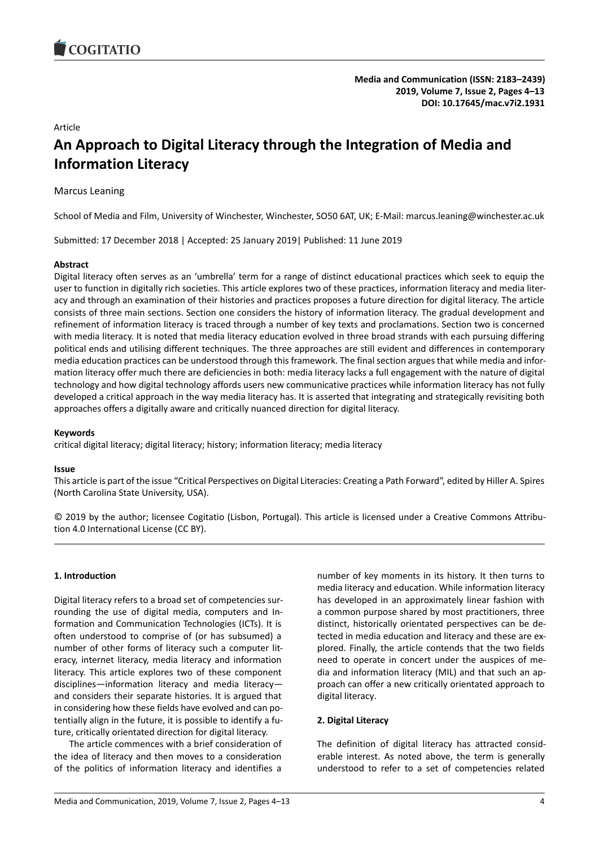# Article

# **An Approach to Digital Literacy through the Integration of Media and Information Literacy**

# Marcus Leaning

School of Media and Film, University of Winchester, Winchester, SO50 6AT, UK; E-Mail: marcus.leaning@winchester.ac.uk

Submitted: 17 December 2018 | Accepted: 25 January 2019| Published: 11 June 2019

# **Abstract**

Digital literacy often serves as an 'umbrella' term for a range of distinct educational practices which seek to equip the user to function in digitally rich societies. This article explores two of these practices, information literacy and media literacy and through an examination of their histories and practices proposes a future direction for digital literacy. The article consists of three main sections. Section one considers the history of information literacy. The gradual development and refinement of information literacy is traced through a number of key texts and proclamations. Section two is concerned with media literacy. It is noted that media literacy education evolved in three broad strands with each pursuing differing political ends and utilising different techniques. The three approaches are still evident and differences in contemporary media education practices can be understood through this framework. The final section argues that while media and information literacy offer much there are deficiencies in both: media literacy lacks a full engagement with the nature of digital technology and how digital technology affords users new communicative practices while information literacy has not fully developed a critical approach in the way media literacy has. It is asserted that integrating and strategically revisiting both approaches offers a digitally aware and critically nuanced direction for digital literacy.

# **Keywords**

critical digital literacy; digital literacy; history; information literacy; media literacy

# **Issue**

This article is part of the issue "Critical Perspectives on Digital Literacies: Creating a Path Forward", edited by Hiller A. Spires (North Carolina State University, USA).

© 2019 by the author; licensee Cogitatio (Lisbon, Portugal). This article is licensed under a Creative Commons Attribution 4.0 International License (CC BY).

# **1. Introduction**

Digital literacy refers to a broad set of competencies surrounding the use of digital media, computers and Information and Communication Technologies (ICTs). It is often understood to comprise of (or has subsumed) a number of other forms of literacy such a computer literacy, internet literacy, media literacy and information literacy. This article explores two of these component disciplines—information literacy and media literacy and considers their separate histories. It is argued that in considering how these fields have evolved and can potentially align in the future, it is possible to identify a future, critically orientated direction for digital literacy.

The article commences with a brief consideration of the idea of literacy and then moves to a consideration of the politics of information literacy and identifies a

number of key moments in its history. It then turns to media literacy and education. While information literacy has developed in an approximately linear fashion with a common purpose shared by most practitioners, three distinct, historically orientated perspectives can be detected in media education and literacy and these are explored. Finally, the article contends that the two fields need to operate in concert under the auspices of media and information literacy (MIL) and that such an approach can offer a new critically orientated approach to digital literacy.

# **2. Digital Literacy**

The definition of digital literacy has attracted considerable interest. As noted above, the term is generally understood to refer to a set of competencies related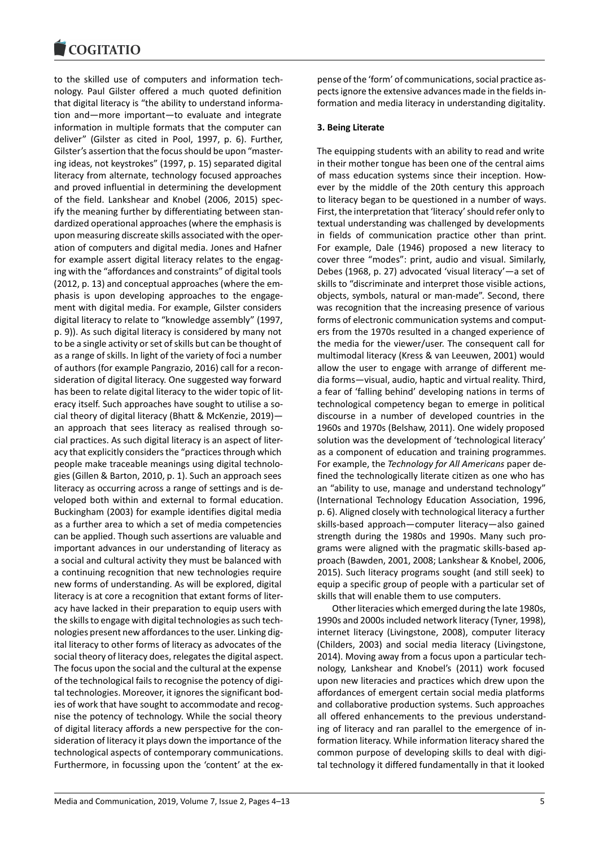#### COQUIATIO

to the skilled use of computers and information technology. Paul Gilster offered a much quoted definition that digital literacy is "the ability to understand information and—more important—to evaluate and integrate information in multiple formats that the computer can deliver" (Gilster as cited in Pool, 1997, p. 6). Further, Gilster's assertion that the focus should be upon "mastering ideas, not keystrokes" (1997, p. 15) separated digital literacy from alternate, technology focused approaches and proved influential in determining the development of the field. Lankshear and Knobel (2006, 2015) specify the meaning further by differentiating between standardized operational approaches (where the emphasis is upon measuring discreate skills associated with the operation of computers and digital media. Jones and Hafner for example assert digital literacy relates to the engaging with the "affordances and constraints" of digital tools (2012, p. 13) and conceptual approaches (where the emphasis is upon developing approaches to the engagement with digital media. For example, Gilster considers digital literacy to relate to "knowledge assembly" (1997, p. 9)). As such digital literacy is considered by many not to be a single activity or set of skills but can be thought of as a range of skills. In light of the variety of foci a number of authors (for example Pangrazio, 2016) call for a reconsideration of digital literacy. One suggested way forward has been to relate digital literacy to the wider topic of literacy itself. Such approaches have sought to utilise a social theory of digital literacy (Bhatt & McKenzie, 2019) an approach that sees literacy as realised through social practices. As such digital literacy is an aspect of literacy that explicitly considers the "practices through which people make traceable meanings using digital technologies (Gillen & Barton, 2010, p. 1). Such an approach sees literacy as occurring across a range of settings and is developed both within and external to formal education. Buckingham (2003) for example identifies digital media as a further area to which a set of media competencies can be applied. Though such assertions are valuable and important advances in our understanding of literacy as a social and cultural activity they must be balanced with a continuing recognition that new technologies require new forms of understanding. As will be explored, digital literacy is at core a recognition that extant forms of literacy have lacked in their preparation to equip users with the skills to engage with digital technologies as such technologies present new affordances to the user. Linking digital literacy to other forms of literacy as advocates of the social theory of literacy does, relegates the digital aspect. The focus upon the social and the cultural at the expense of the technological fails to recognise the potency of digital technologies. Moreover, it ignores the significant bodies of work that have sought to accommodate and recognise the potency of technology. While the social theory of digital literacy affords a new perspective for the consideration of literacy it plays down the importance of the technological aspects of contemporary communications. Furthermore, in focussing upon the 'content' at the ex-

pense of the 'form' of communications, social practice aspects ignore the extensive advances made in the fields information and media literacy in understanding digitality.

# **3. Being Literate**

The equipping students with an ability to read and write in their mother tongue has been one of the central aims of mass education systems since their inception. However by the middle of the 20th century this approach to literacy began to be questioned in a number of ways. First, the interpretation that 'literacy' should refer only to textual understanding was challenged by developments in fields of communication practice other than print. For example, Dale (1946) proposed a new literacy to cover three "modes": print, audio and visual. Similarly, Debes (1968, p. 27) advocated 'visual literacy'—a set of skills to "discriminate and interpret those visible actions, objects, symbols, natural or man-made". Second, there was recognition that the increasing presence of various forms of electronic communication systems and computers from the 1970s resulted in a changed experience of the media for the viewer/user. The consequent call for multimodal literacy (Kress & van Leeuwen, 2001) would allow the user to engage with arrange of different media forms—visual, audio, haptic and virtual reality. Third, a fear of 'falling behind' developing nations in terms of technological competency began to emerge in political discourse in a number of developed countries in the 1960s and 1970s (Belshaw, 2011). One widely proposed solution was the development of 'technological literacy' as a component of education and training programmes. For example, the *Technology for All Americans* paper defined the technologically literate citizen as one who has an "ability to use, manage and understand technology" (International Technology Education Association, 1996, p. 6). Aligned closely with technological literacy a further skills-based approach—computer literacy—also gained strength during the 1980s and 1990s. Many such programs were aligned with the pragmatic skills-based approach (Bawden, 2001, 2008; Lankshear & Knobel, 2006, 2015). Such literacy programs sought (and still seek) to equip a specific group of people with a particular set of skills that will enable them to use computers.

Other literacies which emerged during the late 1980s, 1990s and 2000s included network literacy (Tyner, 1998), internet literacy (Livingstone, 2008), computer literacy (Childers, 2003) and social media literacy (Livingstone, 2014). Moving away from a focus upon a particular technology, Lankshear and Knobel's (2011) work focused upon new literacies and practices which drew upon the affordances of emergent certain social media platforms and collaborative production systems. Such approaches all offered enhancements to the previous understanding of literacy and ran parallel to the emergence of information literacy. While information literacy shared the common purpose of developing skills to deal with digital technology it differed fundamentally in that it looked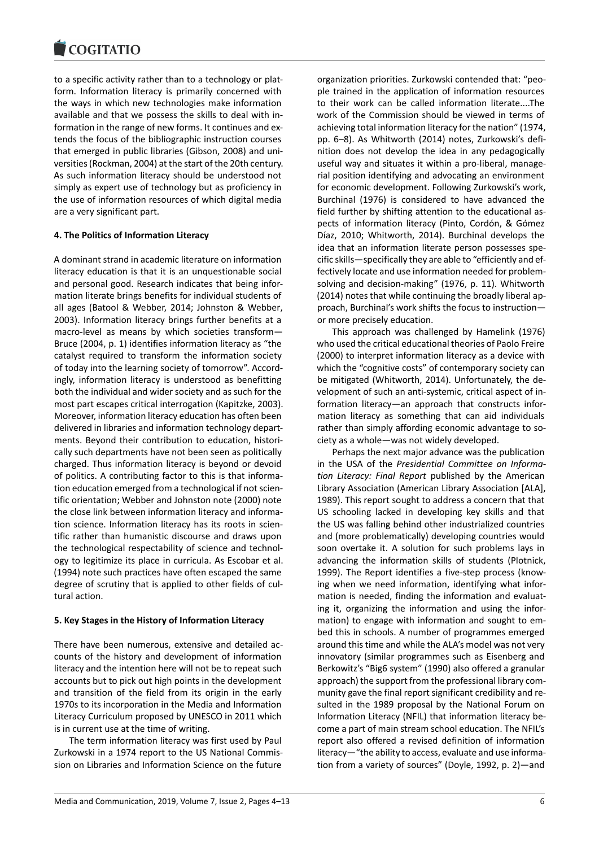to a specific activity rather than to a technology or platform. Information literacy is primarily concerned with the ways in which new technologies make information available and that we possess the skills to deal with information in the range of new forms. It continues and extends the focus of the bibliographic instruction courses that emerged in public libraries (Gibson, 2008) and universities (Rockman, 2004) at the start of the 20th century. As such information literacy should be understood not simply as expert use of technology but as proficiency in the use of information resources of which digital media are a very significant part.

## **4. The Politics of Information Literacy**

A dominant strand in academic literature on information literacy education is that it is an unquestionable social and personal good. Research indicates that being information literate brings benefits for individual students of all ages (Batool & Webber, 2014; Johnston & Webber, 2003). Information literacy brings further benefits at a macro-level as means by which societies transform— Bruce (2004, p. 1) identifies information literacy as "the catalyst required to transform the information society of today into the learning society of tomorrow". Accordingly, information literacy is understood as benefitting both the individual and wider society and as such for the most part escapes critical interrogation (Kapitzke, 2003). Moreover, information literacy education has often been delivered in libraries and information technology departments. Beyond their contribution to education, historically such departments have not been seen as politically charged. Thus information literacy is beyond or devoid of politics. A contributing factor to this is that information education emerged from a technological if not scientific orientation; Webber and Johnston note (2000) note the close link between information literacy and information science. Information literacy has its roots in scientific rather than humanistic discourse and draws upon the technological respectability of science and technology to legitimize its place in curricula. As Escobar et al. (1994) note such practices have often escaped the same degree of scrutiny that is applied to other fields of cultural action.

## **5. Key Stages in the History of Information Literacy**

There have been numerous, extensive and detailed accounts of the history and development of information literacy and the intention here will not be to repeat such accounts but to pick out high points in the development and transition of the field from its origin in the early 1970s to its incorporation in the Media and Information Literacy Curriculum proposed by UNESCO in 2011 which is in current use at the time of writing.

The term information literacy was first used by Paul Zurkowski in a 1974 report to the US National Commission on Libraries and Information Science on the future

organization priorities. Zurkowski contended that: "people trained in the application of information resources to their work can be called information literate....The work of the Commission should be viewed in terms of achieving total information literacy for the nation" (1974, pp. 6–8). As Whitworth (2014) notes, Zurkowski's definition does not develop the idea in any pedagogically useful way and situates it within a pro-liberal, managerial position identifying and advocating an environment for economic development. Following Zurkowski's work, Burchinal (1976) is considered to have advanced the field further by shifting attention to the educational aspects of information literacy (Pinto, Cordón, & Gómez Díaz, 2010; Whitworth, 2014). Burchinal develops the idea that an information literate person possesses specific skills—specifically they are able to "efficiently and effectively locate and use information needed for problemsolving and decision-making" (1976, p. 11). Whitworth (2014) notes that while continuing the broadly liberal approach, Burchinal's work shifts the focus to instruction or more precisely education.

This approach was challenged by Hamelink (1976) who used the critical educational theories of Paolo Freire (2000) to interpret information literacy as a device with which the "cognitive costs" of contemporary society can be mitigated (Whitworth, 2014). Unfortunately, the development of such an anti-systemic, critical aspect of information literacy—an approach that constructs information literacy as something that can aid individuals rather than simply affording economic advantage to society as a whole—was not widely developed.

Perhaps the next major advance was the publication in the USA of the *Presidential Committee on Information Literacy: Final Report* published by the American Library Association (American Library Association [ALA], 1989). This report sought to address a concern that that US schooling lacked in developing key skills and that the US was falling behind other industrialized countries and (more problematically) developing countries would soon overtake it. A solution for such problems lays in advancing the information skills of students (Plotnick, 1999). The Report identifies a five-step process (knowing when we need information, identifying what information is needed, finding the information and evaluating it, organizing the information and using the information) to engage with information and sought to embed this in schools. A number of programmes emerged around this time and while the ALA's model was not very innovatory (similar programmes such as Eisenberg and Berkowitz's "Big6 system" (1990) also offered a granular approach) the support from the professional library community gave the final report significant credibility and resulted in the 1989 proposal by the National Forum on Information Literacy (NFIL) that information literacy become a part of main stream school education. The NFIL's report also offered a revised definition of information literacy—"the ability to access, evaluate and use information from a variety of sources" (Doyle, 1992, p. 2)—and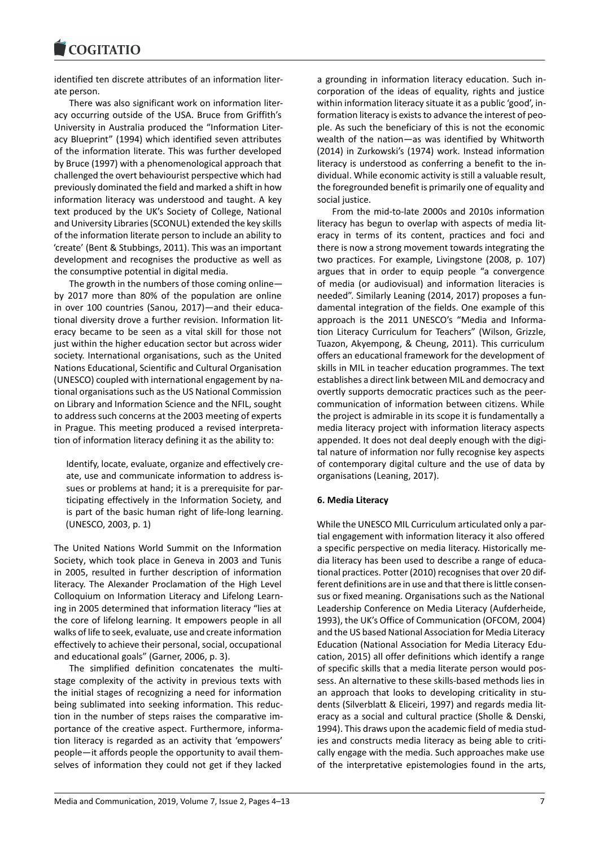#### COMITATIO

identified ten discrete attributes of an information literate person.

There was also significant work on information literacy occurring outside of the USA. Bruce from Griffith's University in Australia produced the "Information Literacy Blueprint" (1994) which identified seven attributes of the information literate. This was further developed by Bruce (1997) with a phenomenological approach that challenged the overt behaviourist perspective which had previously dominated the field and marked a shift in how information literacy was understood and taught. A key text produced by the UK's Society of College, National and University Libraries (SCONUL) extended the key skills of the information literate person to include an ability to 'create' (Bent & Stubbings, 2011). This was an important development and recognises the productive as well as the consumptive potential in digital media.

The growth in the numbers of those coming online by 2017 more than 80% of the population are online in over 100 countries (Sanou, 2017)—and their educational diversity drove a further revision. Information literacy became to be seen as a vital skill for those not just within the higher education sector but across wider society. International organisations, such as the United Nations Educational, Scientific and Cultural Organisation (UNESCO) coupled with international engagement by national organisations such as the US National Commission on Library and Information Science and the NFIL, sought to address such concerns at the 2003 meeting of experts in Prague. This meeting produced a revised interpretation of information literacy defining it as the ability to:

Identify, locate, evaluate, organize and effectively create, use and communicate information to address issues or problems at hand; it is a prerequisite for participating effectively in the Information Society, and is part of the basic human right of life-long learning. (UNESCO, 2003, p. 1)

The United Nations World Summit on the Information Society, which took place in Geneva in 2003 and Tunis in 2005, resulted in further description of information literacy. The Alexander Proclamation of the High Level Colloquium on Information Literacy and Lifelong Learning in 2005 determined that information literacy "lies at the core of lifelong learning. It empowers people in all walks of life to seek, evaluate, use and create information effectively to achieve their personal, social, occupational and educational goals" (Garner, 2006, p. 3).

The simplified definition concatenates the multistage complexity of the activity in previous texts with the initial stages of recognizing a need for information being sublimated into seeking information. This reduction in the number of steps raises the comparative importance of the creative aspect. Furthermore, information literacy is regarded as an activity that 'empowers' people—it affords people the opportunity to avail themselves of information they could not get if they lacked

a grounding in information literacy education. Such incorporation of the ideas of equality, rights and justice within information literacy situate it as a public 'good', information literacy is exists to advance the interest of people. As such the beneficiary of this is not the economic wealth of the nation—as was identified by Whitworth (2014) in Zurkowski's (1974) work. Instead information literacy is understood as conferring a benefit to the individual. While economic activity is still a valuable result, the foregrounded benefit is primarily one of equality and social justice.

From the mid-to-late 2000s and 2010s information literacy has begun to overlap with aspects of media literacy in terms of its content, practices and foci and there is now a strong movement towards integrating the two practices. For example, Livingstone (2008, p. 107) argues that in order to equip people "a convergence of media (or audiovisual) and information literacies is needed". Similarly Leaning (2014, 2017) proposes a fundamental integration of the fields. One example of this approach is the 2011 UNESCO's "Media and Information Literacy Curriculum for Teachers" (Wilson, Grizzle, Tuazon, Akyempong, & Cheung, 2011). This curriculum offers an educational framework for the development of skills in MIL in teacher education programmes. The text establishes a direct link between MIL and democracy and overtly supports democratic practices such as the peercommunication of information between citizens. While the project is admirable in its scope it is fundamentally a media literacy project with information literacy aspects appended. It does not deal deeply enough with the digital nature of information nor fully recognise key aspects of contemporary digital culture and the use of data by organisations (Leaning, 2017).

# **6. Media Literacy**

While the UNESCO MIL Curriculum articulated only a partial engagement with information literacy it also offered a specific perspective on media literacy. Historically media literacy has been used to describe a range of educational practices. Potter (2010) recognises that over 20 different definitions are in use and that there is little consensus or fixed meaning. Organisations such as the National Leadership Conference on Media Literacy (Aufderheide, 1993), the UK's Office of Communication (OFCOM, 2004) and the US based National Association for Media Literacy Education (National Association for Media Literacy Education, 2015) all offer definitions which identify a range of specific skills that a media literate person would possess. An alternative to these skills-based methods lies in an approach that looks to developing criticality in students (Silverblatt & Eliceiri, 1997) and regards media literacy as a social and cultural practice (Sholle & Denski, 1994). This draws upon the academic field of media studies and constructs media literacy as being able to critically engage with the media. Such approaches make use of the interpretative epistemologies found in the arts,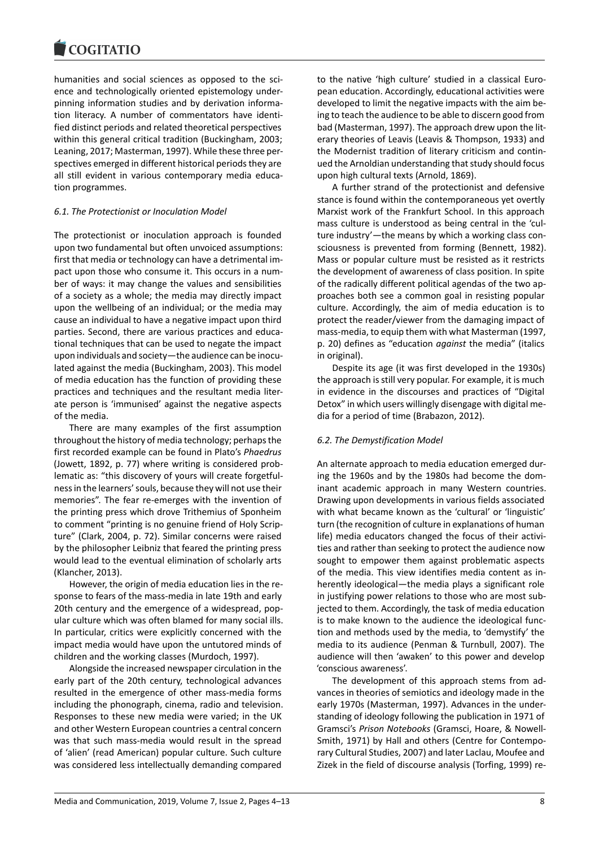humanities and social sciences as opposed to the science and technologically oriented epistemology underpinning information studies and by derivation information literacy. A number of commentators have identified distinct periods and related theoretical perspectives within this general critical tradition (Buckingham, 2003; Leaning, 2017; Masterman, 1997). While these three perspectives emerged in different historical periods they are all still evident in various contemporary media education programmes.

## *6.1. The Protectionist or Inoculation Model*

The protectionist or inoculation approach is founded upon two fundamental but often unvoiced assumptions: first that media or technology can have a detrimental impact upon those who consume it. This occurs in a number of ways: it may change the values and sensibilities of a society as a whole; the media may directly impact upon the wellbeing of an individual; or the media may cause an individual to have a negative impact upon third parties. Second, there are various practices and educational techniques that can be used to negate the impact upon individuals and society—the audience can be inoculated against the media (Buckingham, 2003). This model of media education has the function of providing these practices and techniques and the resultant media literate person is 'immunised' against the negative aspects of the media.

There are many examples of the first assumption throughout the history of media technology; perhaps the first recorded example can be found in Plato's *Phaedrus* (Jowett, 1892, p. 77) where writing is considered problematic as: "this discovery of yours will create forgetfulness in the learners' souls, because they will not use their memories". The fear re-emerges with the invention of the printing press which drove Trithemius of Sponheim to comment "printing is no genuine friend of Holy Scripture" (Clark, 2004, p. 72). Similar concerns were raised by the philosopher Leibniz that feared the printing press would lead to the eventual elimination of scholarly arts (Klancher, 2013).

However, the origin of media education lies in the response to fears of the mass-media in late 19th and early 20th century and the emergence of a widespread, popular culture which was often blamed for many social ills. In particular, critics were explicitly concerned with the impact media would have upon the untutored minds of children and the working classes (Murdoch, 1997).

Alongside the increased newspaper circulation in the early part of the 20th century, technological advances resulted in the emergence of other mass-media forms including the phonograph, cinema, radio and television. Responses to these new media were varied; in the UK and other Western European countries a central concern was that such mass-media would result in the spread of 'alien' (read American) popular culture. Such culture was considered less intellectually demanding compared

to the native 'high culture' studied in a classical European education. Accordingly, educational activities were developed to limit the negative impacts with the aim being to teach the audience to be able to discern good from bad (Masterman, 1997). The approach drew upon the literary theories of Leavis (Leavis & Thompson, 1933) and the Modernist tradition of literary criticism and continued the Arnoldian understanding that study should focus upon high cultural texts (Arnold, 1869).

A further strand of the protectionist and defensive stance is found within the contemporaneous yet overtly Marxist work of the Frankfurt School. In this approach mass culture is understood as being central in the 'culture industry'—the means by which a working class consciousness is prevented from forming (Bennett, 1982). Mass or popular culture must be resisted as it restricts the development of awareness of class position. In spite of the radically different political agendas of the two approaches both see a common goal in resisting popular culture. Accordingly, the aim of media education is to protect the reader/viewer from the damaging impact of mass-media, to equip them with what Masterman (1997, p. 20) defines as "education *against* the media" (italics in original).

Despite its age (it was first developed in the 1930s) the approach is still very popular. For example, it is much in evidence in the discourses and practices of "Digital Detox" in which users willingly disengage with digital media for a period of time (Brabazon, 2012).

## *6.2. The Demystification Model*

An alternate approach to media education emerged during the 1960s and by the 1980s had become the dominant academic approach in many Western countries. Drawing upon developments in various fields associated with what became known as the 'cultural' or 'linguistic' turn (the recognition of culture in explanations of human life) media educators changed the focus of their activities and rather than seeking to protect the audience now sought to empower them against problematic aspects of the media. This view identifies media content as inherently ideological—the media plays a significant role in justifying power relations to those who are most subjected to them. Accordingly, the task of media education is to make known to the audience the ideological function and methods used by the media, to 'demystify' the media to its audience (Penman & Turnbull, 2007). The audience will then 'awaken' to this power and develop 'conscious awareness'.

The development of this approach stems from advances in theories of semiotics and ideology made in the early 1970s (Masterman, 1997). Advances in the understanding of ideology following the publication in 1971 of Gramsci's *Prison Notebooks* (Gramsci, Hoare, & Nowell-Smith, 1971) by Hall and others (Centre for Contemporary Cultural Studies, 2007) and later Laclau, Moufee and Zizek in the field of discourse analysis (Torfing, 1999) re-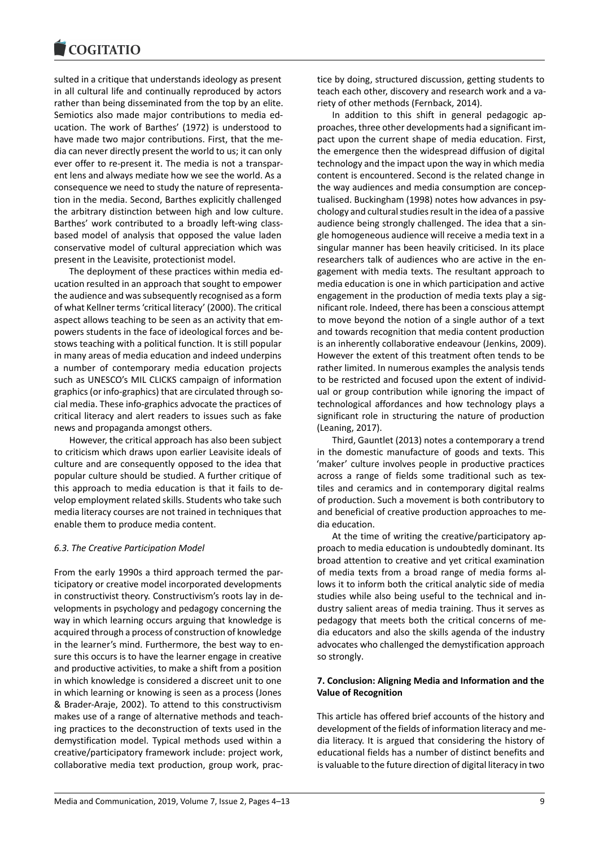#### COMITATIO

sulted in a critique that understands ideology as present in all cultural life and continually reproduced by actors rather than being disseminated from the top by an elite. Semiotics also made major contributions to media education. The work of Barthes' (1972) is understood to have made two major contributions. First, that the media can never directly present the world to us; it can only ever offer to re-present it. The media is not a transparent lens and always mediate how we see the world. As a consequence we need to study the nature of representation in the media. Second, Barthes explicitly challenged the arbitrary distinction between high and low culture. Barthes' work contributed to a broadly left-wing classbased model of analysis that opposed the value laden conservative model of cultural appreciation which was present in the Leavisite, protectionist model.

The deployment of these practices within media education resulted in an approach that sought to empower the audience and was subsequently recognised as a form of what Kellner terms 'critical literacy' (2000). The critical aspect allows teaching to be seen as an activity that empowers students in the face of ideological forces and bestows teaching with a political function. It is still popular in many areas of media education and indeed underpins a number of contemporary media education projects such as UNESCO's MIL CLICKS campaign of information graphics (or info-graphics) that are circulated through social media. These info-graphics advocate the practices of critical literacy and alert readers to issues such as fake news and propaganda amongst others.

However, the critical approach has also been subject to criticism which draws upon earlier Leavisite ideals of culture and are consequently opposed to the idea that popular culture should be studied. A further critique of this approach to media education is that it fails to develop employment related skills. Students who take such media literacy courses are not trained in techniques that enable them to produce media content.

## *6.3. The Creative Participation Model*

From the early 1990s a third approach termed the participatory or creative model incorporated developments in constructivist theory. Constructivism's roots lay in developments in psychology and pedagogy concerning the way in which learning occurs arguing that knowledge is acquired through a process of construction of knowledge in the learner's mind. Furthermore, the best way to ensure this occurs is to have the learner engage in creative and productive activities, to make a shift from a position in which knowledge is considered a discreet unit to one in which learning or knowing is seen as a process (Jones & Brader-Araje, 2002). To attend to this constructivism makes use of a range of alternative methods and teaching practices to the deconstruction of texts used in the demystification model. Typical methods used within a creative/participatory framework include: project work, collaborative media text production, group work, practice by doing, structured discussion, getting students to teach each other, discovery and research work and a variety of other methods (Fernback, 2014).

In addition to this shift in general pedagogic approaches, three other developments had a significant impact upon the current shape of media education. First, the emergence then the widespread diffusion of digital technology and the impact upon the way in which media content is encountered. Second is the related change in the way audiences and media consumption are conceptualised. Buckingham (1998) notes how advances in psychology and cultural studies result in the idea of a passive audience being strongly challenged. The idea that a single homogeneous audience will receive a media text in a singular manner has been heavily criticised. In its place researchers talk of audiences who are active in the engagement with media texts. The resultant approach to media education is one in which participation and active engagement in the production of media texts play a significant role. Indeed, there has been a conscious attempt to move beyond the notion of a single author of a text and towards recognition that media content production is an inherently collaborative endeavour (Jenkins, 2009). However the extent of this treatment often tends to be rather limited. In numerous examples the analysis tends to be restricted and focused upon the extent of individual or group contribution while ignoring the impact of technological affordances and how technology plays a significant role in structuring the nature of production (Leaning, 2017).

Third, Gauntlet (2013) notes a contemporary a trend in the domestic manufacture of goods and texts. This 'maker' culture involves people in productive practices across a range of fields some traditional such as textiles and ceramics and in contemporary digital realms of production. Such a movement is both contributory to and beneficial of creative production approaches to media education.

At the time of writing the creative/participatory approach to media education is undoubtedly dominant. Its broad attention to creative and yet critical examination of media texts from a broad range of media forms allows it to inform both the critical analytic side of media studies while also being useful to the technical and industry salient areas of media training. Thus it serves as pedagogy that meets both the critical concerns of media educators and also the skills agenda of the industry advocates who challenged the demystification approach so strongly.

## **7. Conclusion: Aligning Media and Information and the Value of Recognition**

This article has offered brief accounts of the history and development of the fields of information literacy and media literacy. It is argued that considering the history of educational fields has a number of distinct benefits and is valuable to the future direction of digital literacy in two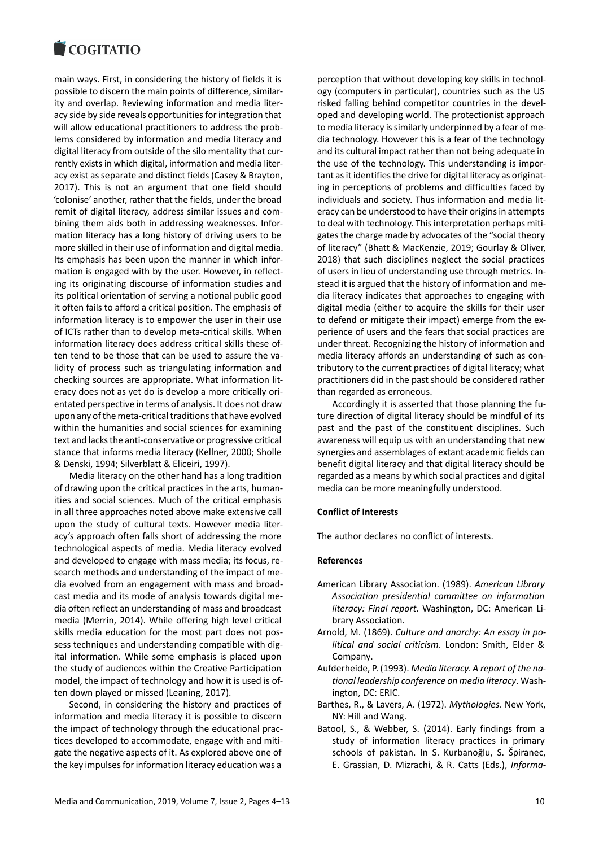#### COQUIATIO

main ways. First, in considering the history of fields it is possible to discern the main points of difference, similarity and overlap. Reviewing information and media literacy side by side reveals opportunities for integration that will allow educational practitioners to address the problems considered by information and media literacy and digital literacy from outside of the silo mentality that currently exists in which digital, information and media literacy exist as separate and distinct fields (Casey & Brayton, 2017). This is not an argument that one field should 'colonise' another, rather that the fields, under the broad remit of digital literacy, address similar issues and combining them aids both in addressing weaknesses. Information literacy has a long history of driving users to be more skilled in their use of information and digital media. Its emphasis has been upon the manner in which information is engaged with by the user. However, in reflecting its originating discourse of information studies and its political orientation of serving a notional public good it often fails to afford a critical position. The emphasis of information literacy is to empower the user in their use of ICTs rather than to develop meta-critical skills. When information literacy does address critical skills these often tend to be those that can be used to assure the validity of process such as triangulating information and checking sources are appropriate. What information literacy does not as yet do is develop a more critically orientated perspective in terms of analysis. It does not draw upon any of the meta-critical traditions that have evolved within the humanities and social sciences for examining text and lacks the anti-conservative or progressive critical stance that informs media literacy (Kellner, 2000; Sholle & Denski, 1994; Silverblatt & Eliceiri, 1997).

Media literacy on the other hand has a long tradition of drawing upon the critical practices in the arts, humanities and social sciences. Much of the critical emphasis in all three approaches noted above make extensive call upon the study of cultural texts. However media literacy's approach often falls short of addressing the more technological aspects of media. Media literacy evolved and developed to engage with mass media; its focus, research methods and understanding of the impact of media evolved from an engagement with mass and broadcast media and its mode of analysis towards digital media often reflect an understanding of mass and broadcast media (Merrin, 2014). While offering high level critical skills media education for the most part does not possess techniques and understanding compatible with digital information. While some emphasis is placed upon the study of audiences within the Creative Participation model, the impact of technology and how it is used is often down played or missed (Leaning, 2017).

Second, in considering the history and practices of information and media literacy it is possible to discern the impact of technology through the educational practices developed to accommodate, engage with and mitigate the negative aspects of it. As explored above one of the key impulses for information literacy education was a

perception that without developing key skills in technology (computers in particular), countries such as the US risked falling behind competitor countries in the developed and developing world. The protectionist approach to media literacy is similarly underpinned by a fear of media technology. However this is a fear of the technology and its cultural impact rather than not being adequate in the use of the technology. This understanding is important as it identifies the drive for digital literacy as originating in perceptions of problems and difficulties faced by individuals and society. Thus information and media literacy can be understood to have their origins in attempts to deal with technology. This interpretation perhaps mitigates the charge made by advocates of the "social theory of literacy" (Bhatt & MacKenzie, 2019; Gourlay & Oliver, 2018) that such disciplines neglect the social practices of users in lieu of understanding use through metrics. Instead it is argued that the history of information and media literacy indicates that approaches to engaging with digital media (either to acquire the skills for their user to defend or mitigate their impact) emerge from the experience of users and the fears that social practices are under threat. Recognizing the history of information and media literacy affords an understanding of such as contributory to the current practices of digital literacy; what practitioners did in the past should be considered rather than regarded as erroneous.

Accordingly it is asserted that those planning the future direction of digital literacy should be mindful of its past and the past of the constituent disciplines. Such awareness will equip us with an understanding that new synergies and assemblages of extant academic fields can benefit digital literacy and that digital literacy should be regarded as a means by which social practices and digital media can be more meaningfully understood.

# **Conflict of Interests**

The author declares no conflict of interests.

## **References**

- American Library Association. (1989). *American Library Association presidential committee on information literacy: Final report*. Washington, DC: American Library Association.
- Arnold, M. (1869). *Culture and anarchy: An essay in political and social criticism*. London: Smith, Elder & Company.
- Aufderheide, P. (1993). *Media literacy. A report of the national leadership conference on media literacy*. Washington, DC: ERIC.
- Barthes, R., & Lavers, A. (1972). *Mythologies*. New York, NY: Hill and Wang.
- Batool, S., & Webber, S. (2014). Early findings from a study of information literacy practices in primary schools of pakistan. In S. Kurbanoğlu, S. Špiranec, E. Grassian, D. Mizrachi, & R. Catts (Eds.), *Informa-*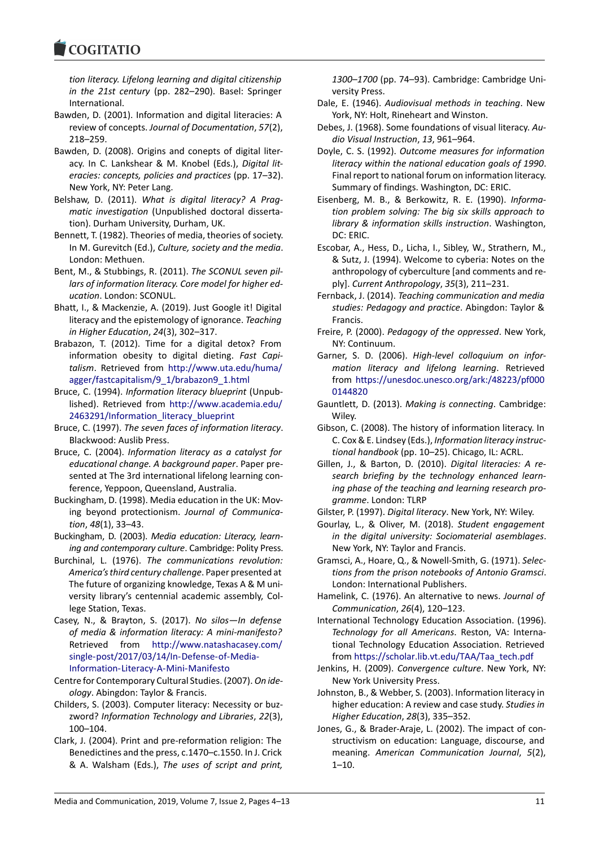#### COMITATIO

*tion literacy. Lifelong learning and digital citizenship in the 21st century* (pp. 282–290). Basel: Springer International.

- Bawden, D. (2001). Information and digital literacies: A review of concepts. *Journal of Documentation*, *57*(2), 218–259.
- Bawden, D. (2008). Origins and conepts of digital literacy. In C. Lankshear & M. Knobel (Eds.), *Digital literacies: concepts, policies and practices* (pp. 17–32). New York, NY: Peter Lang.
- Belshaw, D. (2011). *What is digital literacy? A Pragmatic investigation* (Unpublished doctoral dissertation). Durham University, Durham, UK.
- Bennett, T. (1982). Theories of media, theories of society. In M. Gurevitch (Ed.), *Culture, society and the media*. London: Methuen.
- Bent, M., & Stubbings, R. (2011). *The SCONUL seven pillars of information literacy. Core model for higher education*. London: SCONUL.
- Bhatt, I., & Mackenzie, A. (2019). Just Google it! Digital literacy and the epistemology of ignorance. *Teaching in Higher Education*, *24*(3), 302–317.
- Brabazon, T. (2012). Time for a digital detox? From information obesity to digital dieting. *Fast Capitalism*. Retrieved from http://www.uta.edu/huma/ agger/fastcapitalism/9\_1/brabazon9\_1.html
- Bruce, C. (1994). *Information literacy blueprint* (Unpublished). Retrieved from http://www.academia.edu/ 2463291/Information\_li[teracy\\_blueprint](http://www.uta.edu/huma/agger/fastcapitalism/9_1/brabazon9_1.html)
- Bruce, C. (1997). *[The seven faces of information](http://www.uta.edu/huma/agger/fastcapitalism/9_1/brabazon9_1.html) literacy*. Blackwood: Auslib Press.
- Bruce, C. (2004). *Informati[on literacy as a catalyst for](http://www.academia.edu/2463291/Information_literacy_blueprint) [educational change. A background paper](http://www.academia.edu/2463291/Information_literacy_blueprint)*. Paper presented at The 3rd international lifelong learning conference, Yeppoon, Queensland, Australia.
- Buckingham, D. (1998). Media education in the UK: Moving beyond protectionism. *Journal of Communication*, *48*(1), 33–43.
- Buckingham, D. (2003). *Media education: Literacy, learning and contemporary culture*. Cambridge: Polity Press.
- Burchinal, L. (1976). *The communications revolution: America's third century challenge*. Paper presented at The future of organizing knowledge, Texas A & M university library's centennial academic assembly, College Station, Texas.
- Casey, N., & Brayton, S. (2017). *No silos—In defense of media & information literacy: A mini-manifesto?* Retrieved from http://www.natashacasey.com/ single-post/2017/03/14/In-Defense-of-Media-Information-Literacy-A-Mini-Manifesto
- Centre for Contemporary Cultural Studies. (2007). *On ideology*. Abingdon: Ta[ylor & Francis.](http://www.natashacasey.com/single-post/2017/03/14/In-Defense-of-Media-Information-Literacy-A-Mini-Manifesto)
- Chil[ders, S. \(2003\). Computer literacy: Necessity or](http://www.natashacasey.com/single-post/2017/03/14/In-Defense-of-Media-Information-Literacy-A-Mini-Manifesto) buzzword? *[Information Technology and Lib](http://www.natashacasey.com/single-post/2017/03/14/In-Defense-of-Media-Information-Literacy-A-Mini-Manifesto)raries*, *22*(3), 100–104.
- Clark, J. (2004). Print and pre-reformation religion: The Benedictines and the press, c.1470–c.1550. In J. Crick & A. Walsham (Eds.), *The uses of script and print,*

*1300–1700* (pp. 74–93). Cambridge: Cambridge University Press.

- Dale, E. (1946). *Audiovisual methods in teaching*. New York, NY: Holt, Rineheart and Winston.
- Debes, J. (1968). Some foundations of visual literacy. *Audio Visual Instruction*, *13*, 961–964.
- Doyle, C. S. (1992). *Outcome measures for information literacy within the national education goals of 1990*. Final report to national forum on information literacy. Summary of findings. Washington, DC: ERIC.
- Eisenberg, M. B., & Berkowitz, R. E. (1990). *Information problem solving: The big six skills approach to library & information skills instruction*. Washington, DC: ERIC.
- Escobar, A., Hess, D., Licha, I., Sibley, W., Strathern, M., & Sutz, J. (1994). Welcome to cyberia: Notes on the anthropology of cyberculture [and comments and reply]. *Current Anthropology*, *35*(3), 211–231.
- Fernback, J. (2014). *Teaching communication and media studies: Pedagogy and practice*. Abingdon: Taylor & Francis.
- Freire, P. (2000). *Pedagogy of the oppressed*. New York, NY: Continuum.
- Garner, S. D. (2006). *High-level colloquium on information literacy and lifelong learning*. Retrieved from https://unesdoc.unesco.org/ark:/48223/pf000 0144820
- Gauntlett, D. (2013). *Making is connecting*. Cambridge: Wiley.
- Gibson, C[. \(2008\). The history of information literacy. In](https://unesdoc.unesco.org/ark:/48223/pf0000144820) [C. Cox & E](https://unesdoc.unesco.org/ark:/48223/pf0000144820). Lindsey (Eds.), *Information literacy instructional handbook* (pp. 10–25). Chicago, IL: ACRL.
- Gillen, J., & Barton, D. (2010). *Digital literacies: A research briefing by the technology enhanced learning phase of the teaching and learning research programme*. London: TLRP
- Gilster, P. (1997). *Digital literacy*. New York, NY: Wiley.
- Gourlay, L., & Oliver, M. (2018). *Student engagement in the digital university: Sociomaterial asemblages*. New York, NY: Taylor and Francis.
- Gramsci, A., Hoare, Q., & Nowell-Smith, G. (1971). *Selections from the prison notebooks of Antonio Gramsci*. London: International Publishers.
- Hamelink, C. (1976). An alternative to news. *Journal of Communication*, *26*(4), 120–123.
- International Technology Education Association. (1996). *Technology for all Americans*. Reston, VA: International Technology Education Association. Retrieved from https://scholar.lib.vt.edu/TAA/Taa\_tech.pdf
- Jenkins, H. (2009). *Convergence culture*. New York, NY: New York University Press.
- Johnston, B., & Webber, S. (2003). Information literacy in high[er education: A review and case study.](https://scholar.lib.vt.edu/TAA/Taa_tech.pdf) *Studies in Higher Education*, *28*(3), 335–352.
- Jones, G., & Brader-Araje, L. (2002). The impact of constructivism on education: Language, discourse, and meaning. *American Communication Journal*, *5*(2), 1–10.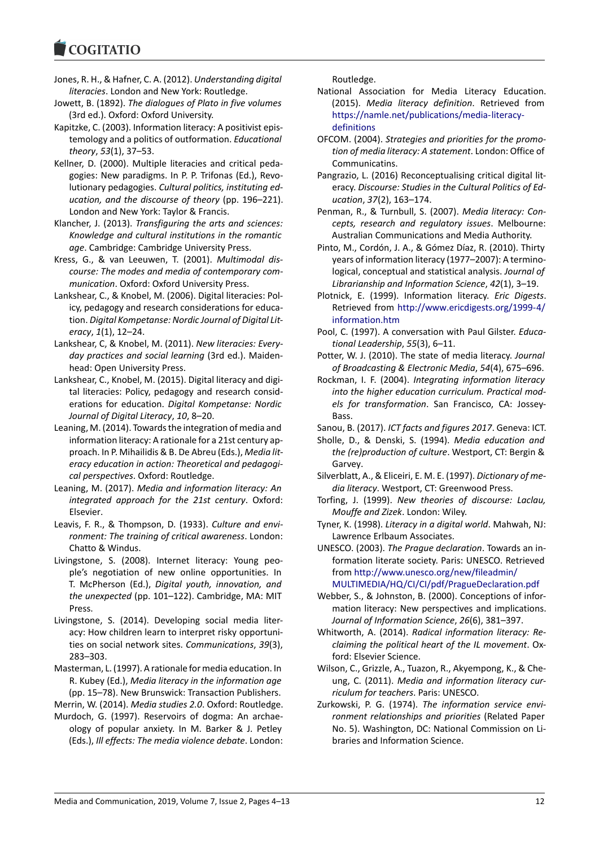### **COMMITMENT**

- Jones, R. H., & Hafner, C. A. (2012). *Understanding digital literacies*. London and New York: Routledge.
- Jowett, B. (1892). *The dialogues of Plato in five volumes* (3rd ed.). Oxford: Oxford University.
- Kapitzke, C. (2003). Information literacy: A positivist epistemology and a politics of outformation. *Educational theory*, *53*(1), 37–53.
- Kellner, D. (2000). Multiple literacies and critical pedagogies: New paradigms. In P. P. Trifonas (Ed.), Revolutionary pedagogies. *Cultural politics, instituting education, and the discourse of theory* (pp. 196–221). London and New York: Taylor & Francis.
- Klancher, J. (2013). *Transfiguring the arts and sciences: Knowledge and cultural institutions in the romantic age*. Cambridge: Cambridge University Press.
- Kress, G., & van Leeuwen, T. (2001). *Multimodal discourse: The modes and media of contemporary communication*. Oxford: Oxford University Press.
- Lankshear, C., & Knobel, M. (2006). Digital literacies: Policy, pedagogy and research considerations for education. *Digital Kompetanse: Nordic Journal of Digital Literacy*, *1*(1), 12–24.
- Lankshear, C, & Knobel, M. (2011). *New literacies: Everyday practices and social learning* (3rd ed.). Maidenhead: Open University Press.
- Lankshear, C., Knobel, M. (2015). Digital literacy and digital literacies: Policy, pedagogy and research considerations for education. *Digital Kompetanse: Nordic Journal of Digital Literacy*, *10*, 8–20.
- Leaning, M. (2014). Towards the integration of media and information literacy: A rationale for a 21st century approach. In P. Mihailidis & B. De Abreu (Eds.), *Media literacy education in action: Theoretical and pedagogical perspectives*. Oxford: Routledge.
- Leaning, M. (2017). *Media and information literacy: An integrated approach for the 21st century*. Oxford: Elsevier.
- Leavis, F. R., & Thompson, D. (1933). *Culture and environment: The training of critical awareness*. London: Chatto & Windus.
- Livingstone, S. (2008). Internet literacy: Young people's negotiation of new online opportunities. In T. McPherson (Ed.), *Digital youth, innovation, and the unexpected* (pp. 101–122). Cambridge, MA: MIT Press.
- Livingstone, S. (2014). Developing social media literacy: How children learn to interpret risky opportunities on social network sites. *Communications*, *39*(3), 283–303.
- Masterman, L. (1997). A rationale for media education. In R. Kubey (Ed.), *Media literacy in the information age* (pp. 15–78). New Brunswick: Transaction Publishers.
- Merrin, W. (2014). *Media studies 2.0*. Oxford: Routledge.
- Murdoch, G. (1997). Reservoirs of dogma: An archaeology of popular anxiety. In M. Barker & J. Petley (Eds.), *Ill effects: The media violence debate*. London:

Routledge.

- National Association for Media Literacy Education. (2015). *Media literacy definition*. Retrieved from https://namle.net/publications/media-literacydefinitions
- OFCOM. (2004). *Strategies and priorities for the promotion of media literacy: A statement*. London: Office of [Communicatins.](https://namle.net/publications/media-literacy-definitions)
- Pa[ngrazio, L. \(2](https://namle.net/publications/media-literacy-definitions)016) Reconceptualising critical digital literacy. *Discourse: Studies in the Cultural Politics of Education*, *37*(2), 163–174.
- Penman, R., & Turnbull, S. (2007). *Media literacy: Concepts, research and regulatory issues*. Melbourne: Australian Communications and Media Authority.
- Pinto, M., Cordón, J. A., & Gómez Díaz, R. (2010). Thirty years of information literacy (1977–2007): A terminological, conceptual and statistical analysis. *Journal of Librarianship and Information Science*, *42*(1), 3–19.
- Plotnick, E. (1999). Information literacy. *Eric Digests*. Retrieved from http://www.ericdigests.org/1999-4/ information.htm
- Pool, C. (1997). A conversation with Paul Gilster. *Educational Leadership*, *55*(3), 6–11.
- Potter, W. J. (2010)[. The state of media literacy.](http://www.ericdigests.org/1999-4/information.htm) *Journal [of Broadcasting &](http://www.ericdigests.org/1999-4/information.htm) Electronic Media*, *54*(4), 675–696.
- Rockman, I. F. (2004). *Integrating information literacy into the higher education curriculum. Practical models for transformation*. San Francisco, CA: Jossey-Bass.
- Sanou, B. (2017). *ICT facts and figures 2017*. Geneva: ICT.
- Sholle, D., & Denski, S. (1994). *Media education and the (re)production of culture*. Westport, CT: Bergin & Garvey.
- Silverblatt, A., & Eliceiri, E. M. E. (1997). *Dictionary of media literacy*. Westport, CT: Greenwood Press.
- Torfing, J. (1999). *New theories of discourse: Laclau, Mouffe and Zizek*. London: Wiley.
- Tyner, K. (1998). *Literacy in a digital world*. Mahwah, NJ: Lawrence Erlbaum Associates.
- UNESCO. (2003). *The Prague declaration*. Towards an information literate society. Paris: UNESCO. Retrieved from http://www.unesco.org/new/fileadmin/ MULTIMEDIA/HQ/CI/CI/pdf/PragueDeclaration.pdf
- Webber, S., & Johnston, B. (2000). Conceptions of information literacy: New perspectives and implications. *Jour[nal of Information Science](http://www.unesco.org/new/fileadmin/MULTIMEDIA/HQ/CI/CI/pdf/PragueDeclaration.pdf)*, *26*(6), 381–397.
- Whitworth, A. (2014). *[Radical information literacy: Re](http://www.unesco.org/new/fileadmin/MULTIMEDIA/HQ/CI/CI/pdf/PragueDeclaration.pdf)claiming the political heart of the IL movement*. Oxford: Elsevier Science.
- Wilson, C., Grizzle, A., Tuazon, R., Akyempong, K., & Cheung, C. (2011). *Media and information literacy curriculum for teachers*. Paris: UNESCO.
- Zurkowski, P. G. (1974). *The information service environment relationships and priorities* (Related Paper No. 5). Washington, DC: National Commission on Libraries and Information Science.